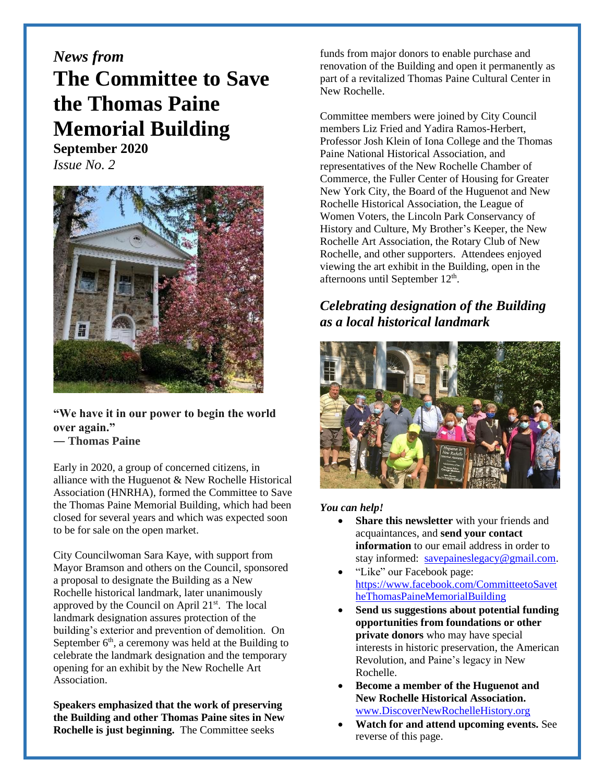## *News from* **The Committee to Save the Thomas Paine Memorial Building**

**September 2020** *Issue No. 2*



**"We have it in our power to begin the world over again."**

**― Thomas Paine**

Early in 2020, a group of concerned citizens, in alliance with the Huguenot & New Rochelle Historical Association (HNRHA), formed the Committee to Save the Thomas Paine Memorial Building, which had been closed for several years and which was expected soon to be for sale on the open market.

City Councilwoman Sara Kaye, with support from Mayor Bramson and others on the Council, sponsored a proposal to designate the Building as a New Rochelle historical landmark, later unanimously approved by the Council on April 21st. The local landmark designation assures protection of the building's exterior and prevention of demolition. On September  $6<sup>th</sup>$ , a ceremony was held at the Building to celebrate the landmark designation and the temporary opening for an exhibit by the New Rochelle Art Association.

**Speakers emphasized that the work of preserving the Building and other Thomas Paine sites in New Rochelle is just beginning.** The Committee seeks

funds from major donors to enable purchase and renovation of the Building and open it permanently as part of a revitalized Thomas Paine Cultural Center in New Rochelle.

Committee members were joined by City Council members Liz Fried and Yadira Ramos-Herbert, Professor Josh Klein of Iona College and the Thomas Paine National Historical Association, and representatives of the New Rochelle Chamber of Commerce, the Fuller Center of Housing for Greater New York City, the Board of the Huguenot and New Rochelle Historical Association, the League of Women Voters, the Lincoln Park Conservancy of History and Culture, My Brother's Keeper, the New Rochelle Art Association, the Rotary Club of New Rochelle, and other supporters. Attendees enjoyed viewing the art exhibit in the Building, open in the afternoons until September 12<sup>th</sup>.

## *Celebrating designation of the Building as a local historical landmark*



## *You can help!*

- **Share this newsletter** with your friends and acquaintances, and **send your contact information** to our email address in order to stay informed: [savepaineslegacy@gmail.com.](mailto:savepaineslegacy@gmail.com)
- "Like" our Facebook page: [https://www.facebook.com/CommitteetoSavet](https://www.facebook.com/CommitteetoSavetheThomasPaineMemorialBuilding) [heThomasPaineMemorialBuilding](https://www.facebook.com/CommitteetoSavetheThomasPaineMemorialBuilding)
- **Send us suggestions about potential funding opportunities from foundations or other private donors** who may have special interests in historic preservation, the American Revolution, and Paine's legacy in New Rochelle.
- **Become a member of the Huguenot and New Rochelle Historical Association.**  [www.DiscoverNewRochelleHistory.org](http://www.discovernewrochellehistory.org/)
- **Watch for and attend upcoming events.** See reverse of this page.